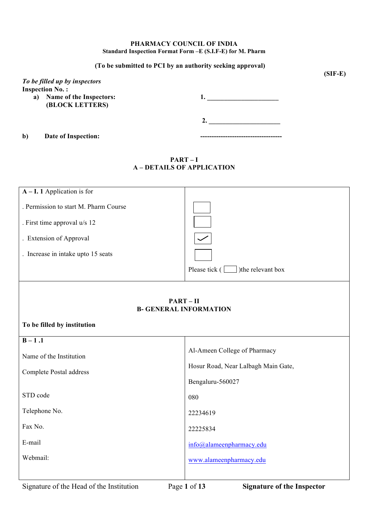#### **PHARMACY COUNCIL OF INDIA Standard Inspection Format Form –E (S.I.F-E) for M. Pharm**

#### **(To be submitted to PCI by an authority seeking approval)**

|    | To be filled up by inspectors<br><b>Inspection No.:</b> |  |
|----|---------------------------------------------------------|--|
| a) | Name of the Inspectors:<br>(BLOCK LETTERS)              |  |
|    |                                                         |  |

**b**) Date of Inspection:

## **PART – I A – DETAILS OF APPLICATION**

| $A - I$ . 1 Application is for        |                                                                        |
|---------------------------------------|------------------------------------------------------------------------|
| . Permission to start M. Pharm Course |                                                                        |
|                                       |                                                                        |
| . First time approval u/s 12          |                                                                        |
| . Extension of Approval               |                                                                        |
| . Increase in intake upto 15 seats    |                                                                        |
|                                       | Please tick $\begin{array}{ c c } \hline \end{array}$ the relevant box |
|                                       |                                                                        |
|                                       | $PART - II$                                                            |
|                                       | <b>B- GENERAL INFORMATION</b>                                          |
| To be filled by institution           |                                                                        |
| $B-1.1$                               |                                                                        |
| Name of the Institution               | Al-Ameen College of Pharmacy                                           |
|                                       | Hosur Road, Near Lalbagh Main Gate,                                    |
| Complete Postal address               |                                                                        |
|                                       | Bengaluru-560027                                                       |
| STD code                              | 080                                                                    |
| Telephone No.                         | 22234619                                                               |
| Fax No.                               |                                                                        |
|                                       | 22225834                                                               |
| E-mail                                | info@alameenpharmacy.edu                                               |
| Webmail:                              | www.alameenpharmacy.edu                                                |
|                                       |                                                                        |
|                                       |                                                                        |

**(SIF-E)**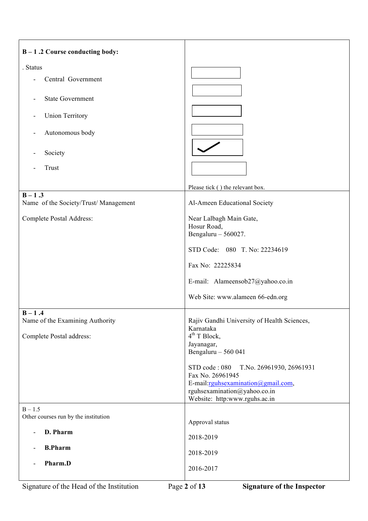| $B - 1.2$ Course conducting body:                 |                                                               |
|---------------------------------------------------|---------------------------------------------------------------|
| . Status                                          |                                                               |
| Central Government                                |                                                               |
|                                                   |                                                               |
| <b>State Government</b>                           |                                                               |
|                                                   |                                                               |
| <b>Union Territory</b>                            |                                                               |
| Autonomous body                                   |                                                               |
|                                                   |                                                               |
| Society                                           |                                                               |
| Trust                                             |                                                               |
|                                                   |                                                               |
|                                                   | Please tick () the relevant box.                              |
| $B - 1.3$<br>Name of the Society/Trust/Management | Al-Ameen Educational Society                                  |
|                                                   |                                                               |
| Complete Postal Address:                          | Near Lalbagh Main Gate,<br>Hosur Road,                        |
|                                                   | Bengaluru $-560027$ .                                         |
|                                                   | STD Code: 080 T. No: 22234619                                 |
|                                                   |                                                               |
|                                                   | Fax No: 22225834                                              |
|                                                   | E-mail: Alameensob27@yahoo.co.in                              |
|                                                   | Web Site: www.alameen 66-edn.org                              |
|                                                   |                                                               |
| $B - 1.4$                                         |                                                               |
| Name of the Examining Authority                   | Rajiv Gandhi University of Health Sciences,<br>Karnataka      |
| Complete Postal address:                          | $4th$ T Block,                                                |
|                                                   | Jayanagar,<br>Bengaluru $-560041$                             |
|                                                   |                                                               |
|                                                   | STD code: 080<br>T.No. 26961930, 26961931<br>Fax No. 26961945 |
|                                                   | E-mail:rguhsexamination@gmail.com,                            |
|                                                   | rguhsexamination@yahoo.co.in                                  |
|                                                   | Website: http:www.rguhs.ac.in                                 |
| $B - 1.5$<br>Other courses run by the institution |                                                               |
|                                                   | Approval status                                               |
| D. Pharm<br>$\overline{a}$                        | 2018-2019                                                     |
| <b>B.Pharm</b>                                    | 2018-2019                                                     |
| Pharm.D                                           |                                                               |
|                                                   | 2016-2017                                                     |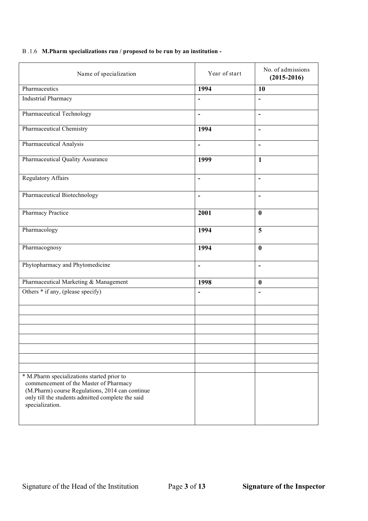## B .1.6 **M.Pharm specializations run / proposed to be run by an institution -**

| Name of specialization                                                                                                                                                                                          | Year of start            | No. of admissions<br>$(2015 - 2016)$ |
|-----------------------------------------------------------------------------------------------------------------------------------------------------------------------------------------------------------------|--------------------------|--------------------------------------|
| Pharmaceutics                                                                                                                                                                                                   | 1994                     | 10                                   |
| <b>Industrial Pharmacy</b>                                                                                                                                                                                      | $\blacksquare$           | $\blacksquare$                       |
| Pharmaceutical Technology                                                                                                                                                                                       | $\overline{\phantom{a}}$ | $\overline{\phantom{a}}$             |
| <b>Pharmaceutical Chemistry</b>                                                                                                                                                                                 | 1994                     | $\blacksquare$                       |
| Pharmaceutical Analysis                                                                                                                                                                                         | $\overline{\phantom{a}}$ | $\blacksquare$                       |
| Pharmaceutical Quality Assurance                                                                                                                                                                                | 1999                     | $\mathbf{1}$                         |
| <b>Regulatory Affairs</b>                                                                                                                                                                                       | $\blacksquare$           | $\blacksquare$                       |
| Pharmaceutical Biotechnology                                                                                                                                                                                    | $\overline{\phantom{a}}$ | $\overline{\phantom{a}}$             |
| Pharmacy Practice                                                                                                                                                                                               | 2001                     | $\bf{0}$                             |
| Pharmacology                                                                                                                                                                                                    | 1994                     | 5                                    |
| Pharmacognosy                                                                                                                                                                                                   | 1994                     | $\bf{0}$                             |
| Phytopharmacy and Phytomedicine                                                                                                                                                                                 | $\overline{\phantom{a}}$ | $\blacksquare$                       |
| Pharmaceutical Marketing & Management                                                                                                                                                                           | 1998                     | $\bf{0}$                             |
| Others * if any, (please specify)                                                                                                                                                                               | $\blacksquare$           | $\blacksquare$                       |
|                                                                                                                                                                                                                 |                          |                                      |
|                                                                                                                                                                                                                 |                          |                                      |
|                                                                                                                                                                                                                 |                          |                                      |
|                                                                                                                                                                                                                 |                          |                                      |
|                                                                                                                                                                                                                 |                          |                                      |
|                                                                                                                                                                                                                 |                          |                                      |
| * M.Pharm specializations started prior to<br>commencement of the Master of Pharmacy<br>(M.Pharm) course Regulations, 2014 can continue<br>only till the students admitted complete the said<br>specialization. |                          |                                      |
|                                                                                                                                                                                                                 |                          |                                      |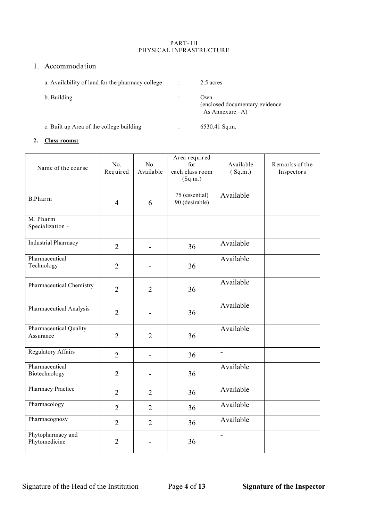#### PART- III PHYSICAL INFRASTRUCTURE

# 1. Accommodation

| a. Availability of land for the pharmacy college | 2.5 acres                                                    |
|--------------------------------------------------|--------------------------------------------------------------|
| b. Building                                      | Own<br>(enclosed documentary evidence)<br>As Annexure $-A$ ) |
| c. Built up Area of the college building         | $6530.41$ Sq.m.                                              |

# **2. Class rooms:**

| Name of the course                  | No.<br>Required | No.<br>Available | Area required<br>for<br>each class room<br>(Sq.m.) | Available<br>(Sq.m.)     | Remarks of the<br>Inspectors |
|-------------------------------------|-----------------|------------------|----------------------------------------------------|--------------------------|------------------------------|
| <b>B.Pharm</b>                      | $\overline{4}$  | 6                | 75 (essential)<br>90 (desirable)                   | Available                |                              |
| M. Pharm<br>Specialization -        |                 |                  |                                                    |                          |                              |
| <b>Industrial Pharmacy</b>          | $\overline{2}$  |                  | 36                                                 | Available                |                              |
| Pharmaceutical<br>Technology        | $\overline{2}$  |                  | 36                                                 | Available                |                              |
| Pharmaceutical Chemistry            | $\overline{2}$  | $\overline{2}$   | 36                                                 | Available                |                              |
| Pharmaceutical Analysis             | $\overline{2}$  |                  | 36                                                 | Available                |                              |
| Pharmaceutical Quality<br>Assurance | $\overline{2}$  | $\overline{2}$   | 36                                                 | Available                |                              |
| <b>Regulatory Affairs</b>           | $\overline{2}$  |                  | 36                                                 | $\blacksquare$           |                              |
| Pharmaceutical<br>Biotechnology     | $\overline{2}$  |                  | 36                                                 | Available                |                              |
| Pharmacy Practice                   | $\overline{2}$  | $\overline{2}$   | 36                                                 | Available                |                              |
| Pharmacology                        | $\overline{2}$  | $\overline{2}$   | 36                                                 | Available                |                              |
| Pharmacognosy                       | $\overline{2}$  | $\overline{2}$   | 36                                                 | Available                |                              |
| Phytopharmacy and<br>Phytomedicine  | $\overline{2}$  |                  | 36                                                 | $\overline{\phantom{a}}$ |                              |

Signature of the Head of the Institution Page **4** of **13 Signature of the Inspector**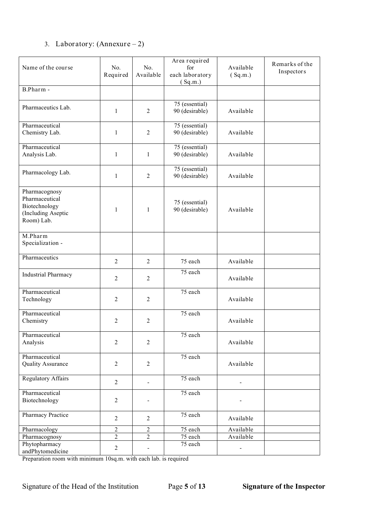# 3. Laboratory: (Annexure – 2)

| Name of the course                                                                   | No.<br>Required | No.<br>Available             | Area required<br>for<br>each laboratory<br>(Sq.m.) | Available<br>(Sq.m.) | Remarks of the<br>Inspectors |
|--------------------------------------------------------------------------------------|-----------------|------------------------------|----------------------------------------------------|----------------------|------------------------------|
| B.Pharm -                                                                            |                 |                              |                                                    |                      |                              |
| Pharmaceutics Lab.                                                                   | $\mathbf{1}$    | $\overline{2}$               | 75 (essential)<br>90 (desirable)                   | Available            |                              |
| Pharmaceutical<br>Chemistry Lab.                                                     | 1               | $\overline{2}$               | 75 (essential)<br>90 (desirable)                   | Available            |                              |
| Pharmaceutical<br>Analysis Lab.                                                      | 1               | $\mathbf{1}$                 | 75 (essential)<br>90 (desirable)                   | Available            |                              |
| Pharmacology Lab.                                                                    | $\mathbf{1}$    | $\overline{2}$               | 75 (essential)<br>90 (desirable)                   | Available            |                              |
| Pharmacognosy<br>Pharmaceutical<br>Biotechnology<br>(Including Aseptic<br>Room) Lab. | $\mathbf{1}$    | $\mathbf{1}$                 | 75 (essential)<br>90 (desirable)                   | Available            |                              |
| M.Pharm<br>Specialization -                                                          |                 |                              |                                                    |                      |                              |
| Pharmaceutics                                                                        | $\overline{2}$  | $\overline{2}$               | 75 each                                            | Available            |                              |
| <b>Industrial Pharmacy</b>                                                           | $\overline{2}$  | $\overline{2}$               | 75 each                                            | Available            |                              |
| Pharmaceutical<br>Technology                                                         | $\overline{2}$  | 2                            | 75 each                                            | Available            |                              |
| Pharmaceutical<br>Chemistry                                                          | $\overline{2}$  | $\overline{2}$               | 75 each                                            | Available            |                              |
| Pharmaceutical<br>Analysis                                                           | $\overline{2}$  | $\overline{2}$               | $\overline{75}$ each                               | Available            |                              |
| Pharmaceutical<br><b>Quality Assurance</b>                                           | $\overline{2}$  | $\overline{2}$               | 75 each                                            | Available            |                              |
| <b>Regulatory Affairs</b>                                                            | $\overline{2}$  | $\blacksquare$               | 75 each                                            |                      |                              |
| Pharmaceutical<br>Biotechnology                                                      | $\overline{2}$  |                              | 75 each                                            |                      |                              |
| Pharmacy Practice                                                                    | $\overline{2}$  | $\overline{2}$               | 75 each                                            | Available            |                              |
| Pharmacology                                                                         | $\overline{2}$  | $\overline{2}$               | 75 each                                            | Available            |                              |
| Pharmacognosy                                                                        | $\overline{2}$  | $\overline{2}$               | 75 each                                            | Available            |                              |
| Phytopharmacy<br>andPhytomedicine                                                    | $\overline{2}$  | $\qquad \qquad \blacksquare$ | 75 each                                            | $\overline{a}$       |                              |

Preparation room with minimum 10sq.m. with each lab. is required

Signature of the Head of the Institution Page **5** of **13 Signature of the Inspector**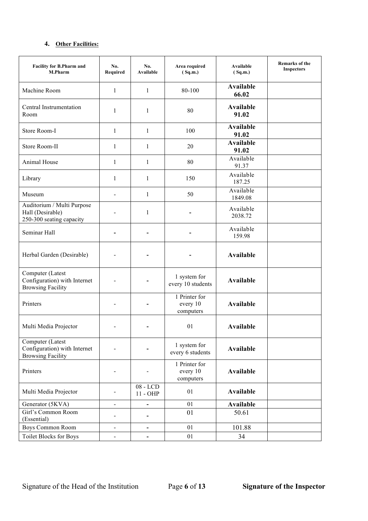## **4. Other Facilities:**

| <b>Facility for B.Pharm and</b><br><b>M.Pharm</b>                            | No.<br>Required | No.<br>Available             | Area required<br><b>Available</b><br>(Sq.m.)<br>(Sq.m.) |                           | <b>Remarks of the</b><br><b>Inspectors</b> |
|------------------------------------------------------------------------------|-----------------|------------------------------|---------------------------------------------------------|---------------------------|--------------------------------------------|
| Machine Room                                                                 | 1               | $\mathbf{1}$                 | 80-100                                                  | Available<br>66.02        |                                            |
| Central Instrumentation<br>Room                                              | 1               | 1                            | 80                                                      | Available<br>91.02        |                                            |
| Store Room-I                                                                 | 1               | $\mathbf{1}$                 | 100                                                     | <b>Available</b><br>91.02 |                                            |
| Store Room-II                                                                | 1               | 1                            | 20                                                      | <b>Available</b><br>91.02 |                                            |
| Animal House                                                                 | 1               | $\mathbf{1}$                 | 80                                                      | Available<br>91.37        |                                            |
| Library                                                                      | 1               | 1                            | 150                                                     | Available<br>187.25       |                                            |
| Museum                                                                       |                 | $\mathbf{1}$                 | 50                                                      | Available<br>1849.08      |                                            |
| Auditorium / Multi Purpose<br>Hall (Desirable)<br>250-300 seating capacity   |                 | $\mathbf{1}$                 |                                                         | Available<br>2038.72      |                                            |
| Seminar Hall                                                                 |                 |                              |                                                         | Available<br>159.98       |                                            |
| Herbal Garden (Desirable)                                                    |                 |                              |                                                         | <b>Available</b>          |                                            |
| Computer (Latest<br>Configuration) with Internet<br><b>Browsing Facility</b> |                 |                              | 1 system for<br>every 10 students                       | <b>Available</b>          |                                            |
| Printers                                                                     |                 |                              | 1 Printer for<br>every 10<br>computers                  | <b>Available</b>          |                                            |
| Multi Media Projector                                                        |                 |                              | 01                                                      | <b>Available</b>          |                                            |
| Computer (Latest<br>Configuration) with Internet<br><b>Browsing Facility</b> |                 |                              | 1 system for<br>every 6 students                        | Available                 |                                            |
| Printers                                                                     |                 |                              | 1 Printer for<br>every 10<br>computers                  | Available                 |                                            |
| Multi Media Projector                                                        |                 | $08$ - LCD<br>$11 - OHP$     | 01                                                      | <b>Available</b>          |                                            |
| Generator (5KVA)                                                             | $\blacksquare$  | -                            | 01                                                      | <b>Available</b>          |                                            |
| Girl's Common Room<br>(Essential)                                            |                 | -                            | 01                                                      | 50.61                     |                                            |
| Boys Common Room                                                             | $\blacksquare$  | $\overline{\phantom{a}}$     | 01                                                      | 101.88                    |                                            |
| <b>Toilet Blocks for Boys</b>                                                | $\blacksquare$  | $\qquad \qquad \blacksquare$ | 01                                                      | 34                        |                                            |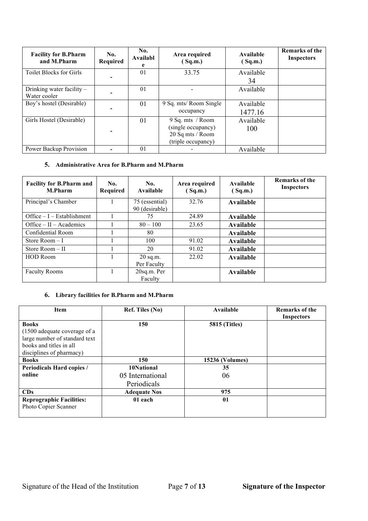| <b>Facility for B.Pharm</b><br>and M.Pharm | No.<br>Required | No.<br>Availabl<br>e | Area required<br>Sq.m.                                                           | Available<br>(Sq.m.) | <b>Remarks of the</b><br><b>Inspectors</b> |
|--------------------------------------------|-----------------|----------------------|----------------------------------------------------------------------------------|----------------------|--------------------------------------------|
| <b>Toilet Blocks for Girls</b>             |                 | 01                   | 33.75                                                                            | Available<br>34      |                                            |
| Drinking water facility -<br>Water cooler  |                 | 01                   |                                                                                  | Available            |                                            |
| Boy's hostel (Desirable)                   |                 | 01                   | 9 Sq. mts/ Room Single<br>occupancy                                              | Available<br>1477.16 |                                            |
| Girls Hostel (Desirable)                   |                 | 01                   | 9 Sq. mts / Room<br>(single occupancy)<br>20 Sq mts / Room<br>(triple occupancy) | Available<br>100     |                                            |
| Power Backup Provision                     |                 | 01                   |                                                                                  | Available            |                                            |

### **5. Administrative Area for B.Pharm and M.Pharm**

| <b>Facility for B.Pharm and</b><br>M.Pharm | No.<br>Required | No.<br>Available                 | Area required<br>(Sq.m.) | Available<br>(Sq.m.) | Remarks of the<br><b>Inspectors</b> |
|--------------------------------------------|-----------------|----------------------------------|--------------------------|----------------------|-------------------------------------|
| Principal's Chamber                        | 1               | 75 (essential)<br>90 (desirable) | 32.76                    | Available            |                                     |
| Office $-I$ – Establishment                |                 | 75                               | 24.89                    | Available            |                                     |
| Office $- II - Academics$                  |                 | $80 - 100$                       | 23.65                    | Available            |                                     |
| Confidential Room                          |                 | 80                               |                          | Available            |                                     |
| Store Room $-I$                            |                 | 100                              | 91.02                    | Available            |                                     |
| Store Room $-$ II                          |                 | 20                               | 91.02                    | Available            |                                     |
| <b>HOD Room</b>                            |                 | $20$ sq.m.<br>Per Faculty        | 22.02                    | Available            |                                     |
| <b>Faculty Rooms</b>                       |                 | 20sq.m. Per<br>Faculty           |                          | Available            |                                     |

# **6. Library facilities for B.Pharm and M.Pharm**

| <b>Item</b>                     | Ref. Tiles (No)     | Available              | Remarks of the    |
|---------------------------------|---------------------|------------------------|-------------------|
|                                 |                     |                        | <b>Inspectors</b> |
| <b>Books</b>                    | 150                 | <b>5815 (Titles)</b>   |                   |
| (1500 adequate coverage of a    |                     |                        |                   |
| large number of standard text   |                     |                        |                   |
| books and titles in all         |                     |                        |                   |
| disciplines of pharmacy)        |                     |                        |                   |
| <b>Books</b>                    | 150                 | <b>15236 (Volumes)</b> |                   |
| Periodicals Hard copies /       | 10National          | 35                     |                   |
| online                          | 05 International    | 06                     |                   |
|                                 | Periodicals         |                        |                   |
| CDs                             | <b>Adequate Nos</b> | 975                    |                   |
| <b>Reprographic Facilities:</b> | 01 each             | 01                     |                   |
| Photo Copier Scanner            |                     |                        |                   |
|                                 |                     |                        |                   |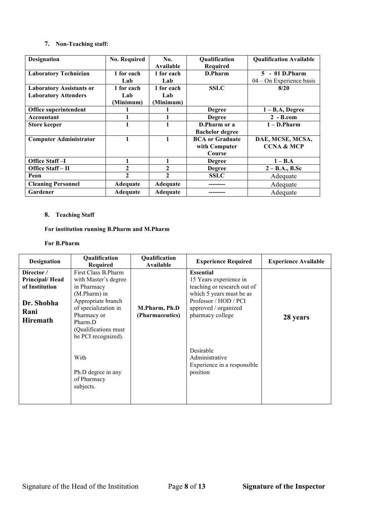#### **7. Non-Teaching staff:**

| <b>Designation</b>                                             | <b>No. Required</b>            | No.<br><b>Available</b>        | Qualification<br><b>Required</b>                  | <b>Qualification Available</b>                 |
|----------------------------------------------------------------|--------------------------------|--------------------------------|---------------------------------------------------|------------------------------------------------|
| <b>Laboratory Technician</b>                                   | 1 for each<br>Lab              | 1 for each<br>Lab              | D.Pharm                                           | $5 - 01$ D.Pharm<br>$04 - On$ Experience basis |
| <b>Laboratory Assistants or</b><br><b>Laboratory Attenders</b> | 1 for each<br>Lab<br>(Minimum) | 1 for each<br>Lab<br>(Minimum) | <b>SSLC</b>                                       | 8/20                                           |
| Office superintendent                                          |                                |                                | <b>Degree</b>                                     | $1 - B.A$ , Degree                             |
| Accountant                                                     |                                |                                | <b>Degree</b>                                     | $2 - B.com$                                    |
| <b>Store keeper</b>                                            |                                |                                | D.Pharm or a<br><b>Bachelor degree</b>            | $1 - D.Pharm$                                  |
| <b>Computer Administrator</b>                                  | 1                              | 1                              | <b>BCA</b> or Graduate<br>with Computer<br>Course | DAE, MCSE, MCSA,<br><b>CCNA &amp; MCP</b>      |
| <b>Office Staff-I</b>                                          | 1                              | 1                              | <b>Degree</b>                                     | $1 - B.A$                                      |
| Office Staff - II                                              | 2                              | 2                              | <b>Degree</b>                                     | $2 - B.A., B.Sc$                               |
| Peon                                                           | $\mathbf{2}$                   | $\mathbf{2}$                   | <b>SSLC</b>                                       | Adequate                                       |
| <b>Cleaning Personnel</b>                                      | Adequate                       | Adequate                       |                                                   | Adequate                                       |
| Gardener                                                       | Adequate                       | <b>Adequate</b>                |                                                   | Adequate                                       |

# **8. Teaching Staff**

# **For institution running B.Pharm and M.Pharm**

#### **For B.Pharm**

| <b>Designation</b>                                      | Qualification<br>Required                                                                                                      | Qualification<br>Available       | <b>Experience Required</b>                                                                                                   | <b>Experience Available</b> |
|---------------------------------------------------------|--------------------------------------------------------------------------------------------------------------------------------|----------------------------------|------------------------------------------------------------------------------------------------------------------------------|-----------------------------|
| Director /<br>Principal/Head                            | First Class B.Pharm<br>with Master's degree                                                                                    |                                  | <b>Essential</b><br>15 Years experience in                                                                                   |                             |
| of Institution<br>Dr. Shobha<br>Rani<br><b>Hiremath</b> | in Pharmacy<br>$(M.Pharm)$ in<br>Appropriate branch<br>of specialization in<br>Pharmacy or<br>Pharm.D<br>(Qualifications must) | M.Pharm, Ph.D<br>(Pharmaceutics) | teaching or research out of<br>which 5 years must be as<br>Professor / HOD / PCI<br>approved / organized<br>pharmacy college | 28 years                    |
|                                                         | be PCI recognized).<br>With<br>Ph.D degree in any<br>of Pharmacy<br>subjects.                                                  |                                  | Desirable<br>Administrative<br>Experience in a responsible<br>position                                                       |                             |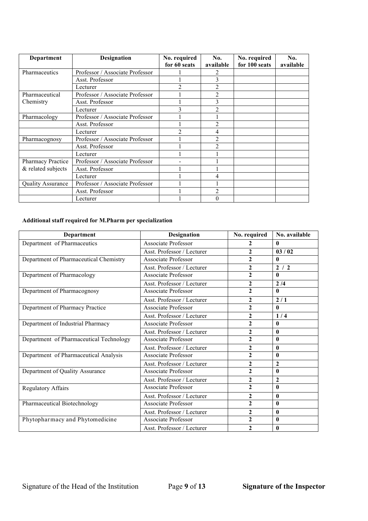| <b>Department</b>        | <b>Designation</b>              | No. required<br>for 60 seats | No.<br>available         | No. required<br>for 100 seats | No.<br>available |
|--------------------------|---------------------------------|------------------------------|--------------------------|-------------------------------|------------------|
| Pharmaceutics            | Professor / Associate Professor |                              |                          |                               |                  |
|                          | Asst. Professor                 |                              |                          |                               |                  |
|                          | Lecturer                        |                              |                          |                               |                  |
| Pharmaceutical           | Professor / Associate Professor |                              | $\overline{2}$           |                               |                  |
| Chemistry                | Asst. Professor                 |                              | 3                        |                               |                  |
|                          | Lecturer                        |                              |                          |                               |                  |
| Pharmacology             | Professor / Associate Professor |                              |                          |                               |                  |
|                          | Asst. Professor                 |                              |                          |                               |                  |
|                          | Lecturer                        |                              |                          |                               |                  |
| Pharmacognosy            | Professor / Associate Professor |                              |                          |                               |                  |
|                          | Asst. Professor                 |                              | $\mathfrak{D}$           |                               |                  |
|                          | Lecturer                        |                              |                          |                               |                  |
| Pharmacy Practice        | Professor / Associate Professor |                              |                          |                               |                  |
| & related subjects       | Asst. Professor                 |                              |                          |                               |                  |
|                          | Lecturer                        |                              | 4                        |                               |                  |
| <b>Quality Assurance</b> | Professor / Associate Professor |                              |                          |                               |                  |
|                          | Asst. Professor                 |                              | $\overline{\mathcal{L}}$ |                               |                  |
|                          | Lecturer                        |                              | 0                        |                               |                  |

# **Additional staff required for M.Pharm per specialization**

| Department                              | <b>Designation</b>         | No. required   | No. available    |
|-----------------------------------------|----------------------------|----------------|------------------|
| Department of Pharmaceutics             | <b>Associate Professor</b> | $\mathbf{2}$   | 0                |
|                                         | Asst. Professor / Lecturer | $\mathbf{2}$   | 03/02            |
| Department of Pharmaceutical Chemistry  | <b>Associate Professor</b> | $\mathbf{2}$   | $\mathbf{0}$     |
|                                         | Asst. Professor / Lecturer | $\mathbf{2}$   | 2/2              |
| Department of Pharmacology              | <b>Associate Professor</b> | $\mathbf{2}$   | $\mathbf{0}$     |
|                                         | Asst. Professor / Lecturer | 2              | 2/4              |
| Department of Pharmacognosy             | Associate Professor        | $\overline{2}$ | $\mathbf{0}$     |
|                                         | Asst. Professor / Lecturer | $\mathbf{2}$   | 2/1              |
| Department of Pharmacy Practice         | Associate Professor        | $\mathbf{2}$   | $\mathbf{0}$     |
|                                         | Asst. Professor / Lecturer | $\mathbf{2}$   | 1/4              |
| Department of Industrial Pharmacy       | Associate Professor        | $\mathbf{2}$   | $\bf{0}$         |
|                                         | Asst. Professor / Lecturer | $\mathbf{2}$   | $\boldsymbol{0}$ |
| Department of Pharmaceutical Technology | <b>Associate Professor</b> | $\overline{2}$ | $\mathbf{0}$     |
|                                         | Asst. Professor / Lecturer | 2              | $\bf{0}$         |
| Department of Pharmaceutical Analysis   | <b>Associate Professor</b> | $\overline{2}$ | $\boldsymbol{0}$ |
|                                         | Asst. Professor / Lecturer | $\overline{2}$ | $\mathbf{2}$     |
| Department of Quality Assurance         | Associate Professor        | $\mathbf{2}$   | $\boldsymbol{0}$ |
|                                         | Asst. Professor / Lecturer | $\mathbf{2}$   | $\mathbf{2}$     |
| <b>Regulatory Affairs</b>               | <b>Associate Professor</b> | $\overline{2}$ | $\mathbf{0}$     |
|                                         | Asst. Professor / Lecturer | $\mathbf{2}$   | $\boldsymbol{0}$ |
| Pharmaceutical Biotechnology            | <b>Associate Professor</b> | $\overline{2}$ | $\boldsymbol{0}$ |
|                                         | Asst. Professor / Lecturer | 2              | $\mathbf{0}$     |
| Phytopharmacy and Phytomedicine         | <b>Associate Professor</b> | $\mathbf{2}$   | $\mathbf{0}$     |
|                                         | Asst. Professor / Lecturer | $\mathbf{2}$   | $\mathbf{0}$     |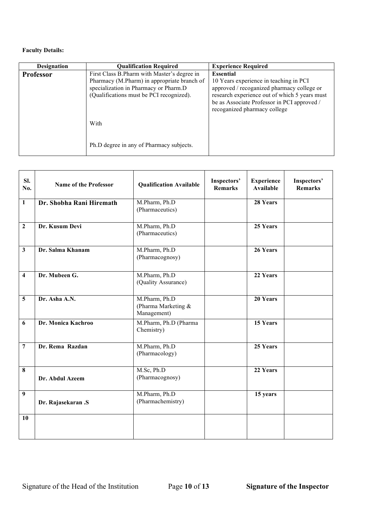| <b>Designation</b> | <b>Oualification Required</b>                                                                                                                                                   | <b>Experience Required</b>                                                                                                                                                                                                               |
|--------------------|---------------------------------------------------------------------------------------------------------------------------------------------------------------------------------|------------------------------------------------------------------------------------------------------------------------------------------------------------------------------------------------------------------------------------------|
| <b>Professor</b>   | First Class B.Pharm with Master's degree in<br>Pharmacy (M.Pharm) in appropriate branch of<br>specialization in Pharmacy or Pharm.D<br>(Qualifications must be PCI recognized). | <b>Essential</b><br>10 Years experience in teaching in PCI<br>approved / recoganized pharmacy college or<br>research experience out of which 5 years must<br>be as Associate Professor in PCI approved /<br>recoganized pharmacy college |
|                    | With                                                                                                                                                                            |                                                                                                                                                                                                                                          |
|                    | Ph.D degree in any of Pharmacy subjects.                                                                                                                                        |                                                                                                                                                                                                                                          |

| SI.<br>No.              | <b>Name of the Professor</b> | <b>Qualification Available</b>                        | Inspectors'<br><b>Remarks</b> | <b>Experience</b><br><b>Available</b> | Inspectors'<br><b>Remarks</b> |
|-------------------------|------------------------------|-------------------------------------------------------|-------------------------------|---------------------------------------|-------------------------------|
| $\mathbf{1}$            | Dr. Shobha Rani Hiremath     | M.Pharm, Ph.D<br>(Pharmaceutics)                      |                               | 28 Years                              |                               |
| $\overline{2}$          | Dr. Kusum Devi               | M.Pharm, Ph.D<br>(Pharmaceutics)                      |                               | 25 Years                              |                               |
| $\mathbf{3}$            | Dr. Salma Khanam             | M.Pharm, Ph.D<br>(Pharmacognosy)                      |                               | 26 Years                              |                               |
| $\overline{\mathbf{4}}$ | Dr. Mubeen G.                | M.Pharm, Ph.D<br>(Quality Assurance)                  |                               | 22 Years                              |                               |
| 5                       | Dr. Asha A.N.                | M.Pharm, Ph.D<br>(Pharma Marketing $&$<br>Management) |                               | 20 Years                              |                               |
| 6                       | Dr. Monica Kachroo           | M.Pharm, Ph.D (Pharma<br>Chemistry)                   |                               | 15 Years                              |                               |
| $\overline{7}$          | Dr. Rema Razdan              | M.Pharm, Ph.D<br>(Pharmacology)                       |                               | 25 Years                              |                               |
| 8                       | Dr. Abdul Azeem              | M.Sc, Ph.D<br>(Pharmacognosy)                         |                               | 22 Years                              |                               |
| 9                       | Dr. Rajasekaran .S           | M.Pharm, Ph.D<br>(Pharmachemistry)                    |                               | 15 years                              |                               |
| 10                      |                              |                                                       |                               |                                       |                               |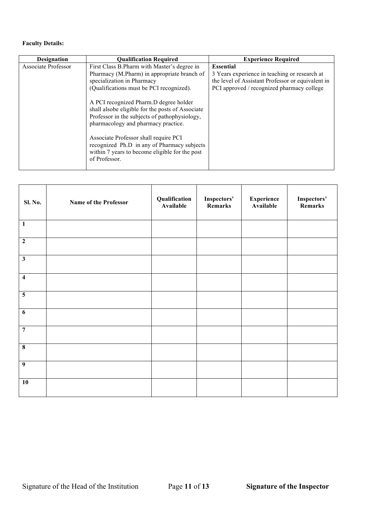| <b>Designation</b>  | <b>Qualification Required</b>                                                                                                                                                                                                                                                                                                                                                                                                                                                                                           | <b>Experience Required</b>                                                                                                                                           |
|---------------------|-------------------------------------------------------------------------------------------------------------------------------------------------------------------------------------------------------------------------------------------------------------------------------------------------------------------------------------------------------------------------------------------------------------------------------------------------------------------------------------------------------------------------|----------------------------------------------------------------------------------------------------------------------------------------------------------------------|
| Associate Professor | First Class B. Pharm with Master's degree in<br>Pharmacy (M.Pharm) in appropriate branch of<br>specialization in Pharmacy<br>(Qualifications must be PCI recognized).<br>A PCI recognized Pharm. D degree holder<br>shall alsobe eligible for the posts of Associate<br>Professor in the subjects of pathophysiology,<br>pharmacology and pharmacy practice.<br>Associate Professor shall require PCI<br>recognized Ph.D in any of Pharmacy subjects<br>within 7 years to become eligible for the post<br>of Professor. | <b>Essential</b><br>3 Years experience in teaching or research at<br>the level of Assistant Professor or equivalent in<br>PCI approved / recognized pharmacy college |

| <b>Sl. No.</b>          | Name of the Professor | Qualification<br>Available | Inspectors'<br>Remarks | <b>Experience</b><br>Available | Inspectors'<br>Remarks |
|-------------------------|-----------------------|----------------------------|------------------------|--------------------------------|------------------------|
| $\overline{1}$          |                       |                            |                        |                                |                        |
| $\overline{2}$          |                       |                            |                        |                                |                        |
| $\mathbf{3}$            |                       |                            |                        |                                |                        |
| $\overline{\mathbf{4}}$ |                       |                            |                        |                                |                        |
| $\overline{\mathbf{5}}$ |                       |                            |                        |                                |                        |
| $\overline{6}$          |                       |                            |                        |                                |                        |
| $\overline{7}$          |                       |                            |                        |                                |                        |
| $\overline{\mathbf{8}}$ |                       |                            |                        |                                |                        |
| $\overline{9}$          |                       |                            |                        |                                |                        |
| 10                      |                       |                            |                        |                                |                        |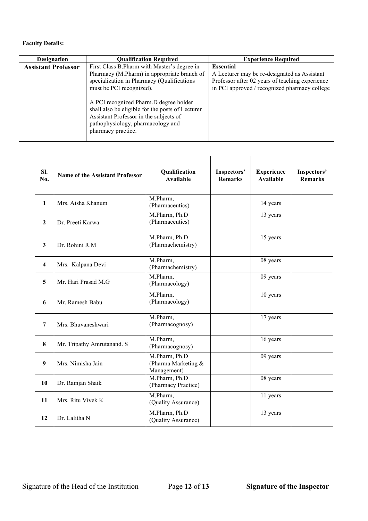| <b>Designation</b>         | <b>Qualification Required</b>                                                                                                                                                                   | <b>Experience Required</b>                                                                                                                                           |
|----------------------------|-------------------------------------------------------------------------------------------------------------------------------------------------------------------------------------------------|----------------------------------------------------------------------------------------------------------------------------------------------------------------------|
| <b>Assistant Professor</b> | First Class B.Pharm with Master's degree in<br>Pharmacy (M.Pharm) in appropriate branch of<br>specialization in Pharmacy (Qualifications<br>must be PCI recognized).                            | <b>Essential</b><br>A Lecturer may be re-designated as Assistant<br>Professor after 02 years of teaching experience<br>in PCI approved / recognized pharmacy college |
|                            | A PCI recognized Pharm.D degree holder<br>shall also be eligible for the posts of Lecturer<br>Assistant Professor in the subjects of<br>pathophysiology, pharmacology and<br>pharmacy practice. |                                                                                                                                                                      |

| SI.<br>No.              | <b>Name of the Assistant Professor</b> | Qualification<br><b>Available</b>                   | Inspectors'<br><b>Remarks</b> | <b>Experience</b><br><b>Available</b> | Inspectors'<br><b>Remarks</b> |
|-------------------------|----------------------------------------|-----------------------------------------------------|-------------------------------|---------------------------------------|-------------------------------|
| $\mathbf{1}$            | Mrs. Aisha Khanum                      | M.Pharm,<br>(Pharmaceutics)                         |                               | 14 years                              |                               |
| $\mathbf{2}$            | Dr. Preeti Karwa                       | M.Pharm, Ph.D<br>(Pharmaceutics)                    |                               | 13 years                              |                               |
| 3                       | Dr. Rohini R.M.                        | M.Pharm, Ph.D<br>(Pharmachemistry)                  |                               | 15 years                              |                               |
| $\overline{\mathbf{4}}$ | Mrs. Kalpana Devi                      | M.Pharm,<br>(Pharmachemistry)                       |                               | 08 years                              |                               |
| 5                       | Mr. Hari Prasad M.G                    | M.Pharm,<br>(Pharmacology)                          |                               | 09 years                              |                               |
| 6                       | Mr. Ramesh Babu                        | M.Pharm,<br>(Pharmacology)                          |                               | 10 years                              |                               |
| $\overline{7}$          | Mrs. Bhuvaneshwari                     | M.Pharm,<br>(Pharmacognosy)                         |                               | 17 years                              |                               |
| 8                       | Mr. Tripathy Amrutanand. S             | M.Pharm,<br>(Pharmacognosy)                         |                               | 16 years                              |                               |
| $\boldsymbol{9}$        | Mrs. Nimisha Jain                      | M.Pharm, Ph.D<br>(Pharma Marketing &<br>Management) |                               | 09 years                              |                               |
| 10                      | Dr. Ramjan Shaik                       | M.Pharm, Ph.D<br>(Pharmacy Practice)                |                               | 08 years                              |                               |
| 11                      | Mrs. Ritu Vivek K                      | M.Pharm,<br>(Quality Assurance)                     |                               | 11 years                              |                               |
| 12                      | Dr. Lalitha N                          | M.Pharm, Ph.D<br>(Quality Assurance)                |                               | 13 years                              |                               |

Signature of the Head of the Institution Page **12** of **13 Signature of the Inspector**